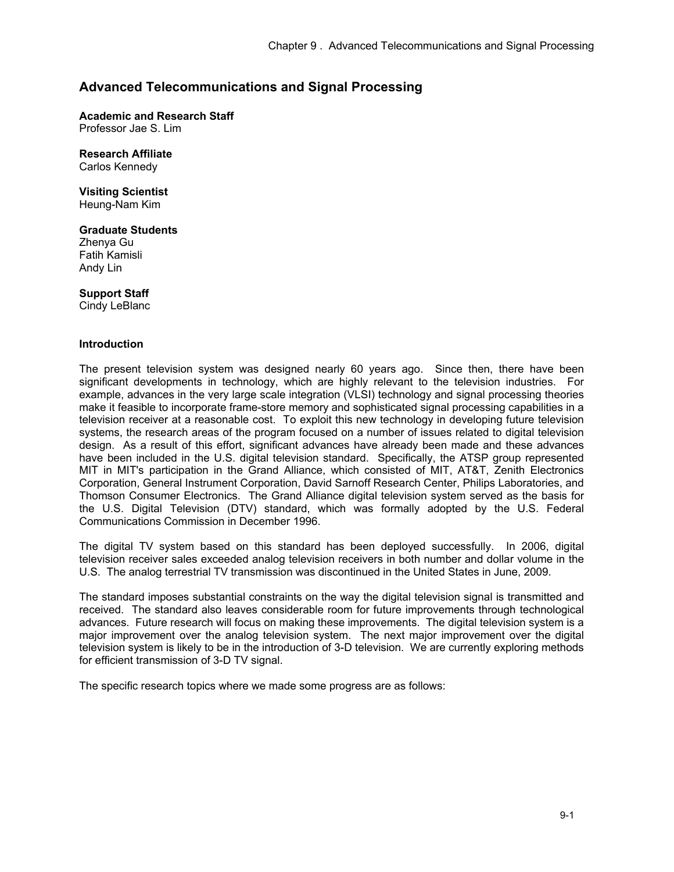# **Advanced Telecommunications and Signal Processing**

**Academic and Research Staff** 

Professor Jae S. Lim

# **Research Affiliate**

Carlos Kennedy

# **Visiting Scientist**

Heung-Nam Kim

# **Graduate Students**

Zhenya Gu Fatih Kamisli Andy Lin

# **Support Staff**

Cindy LeBlanc

#### **Introduction**

The present television system was designed nearly 60 years ago. Since then, there have been significant developments in technology, which are highly relevant to the television industries. For example, advances in the very large scale integration (VLSI) technology and signal processing theories make it feasible to incorporate frame-store memory and sophisticated signal processing capabilities in a television receiver at a reasonable cost. To exploit this new technology in developing future television systems, the research areas of the program focused on a number of issues related to digital television design. As a result of this effort, significant advances have already been made and these advances have been included in the U.S. digital television standard. Specifically, the ATSP group represented MIT in MIT's participation in the Grand Alliance, which consisted of MIT, AT&T, Zenith Electronics Corporation, General Instrument Corporation, David Sarnoff Research Center, Philips Laboratories, and Thomson Consumer Electronics. The Grand Alliance digital television system served as the basis for the U.S. Digital Television (DTV) standard, which was formally adopted by the U.S. Federal Communications Commission in December 1996.

The digital TV system based on this standard has been deployed successfully. In 2006, digital television receiver sales exceeded analog television receivers in both number and dollar volume in the U.S. The analog terrestrial TV transmission was discontinued in the United States in June, 2009.

The standard imposes substantial constraints on the way the digital television signal is transmitted and received. The standard also leaves considerable room for future improvements through technological advances. Future research will focus on making these improvements. The digital television system is a major improvement over the analog television system. The next major improvement over the digital television system is likely to be in the introduction of 3-D television. We are currently exploring methods for efficient transmission of 3-D TV signal.

The specific research topics where we made some progress are as follows: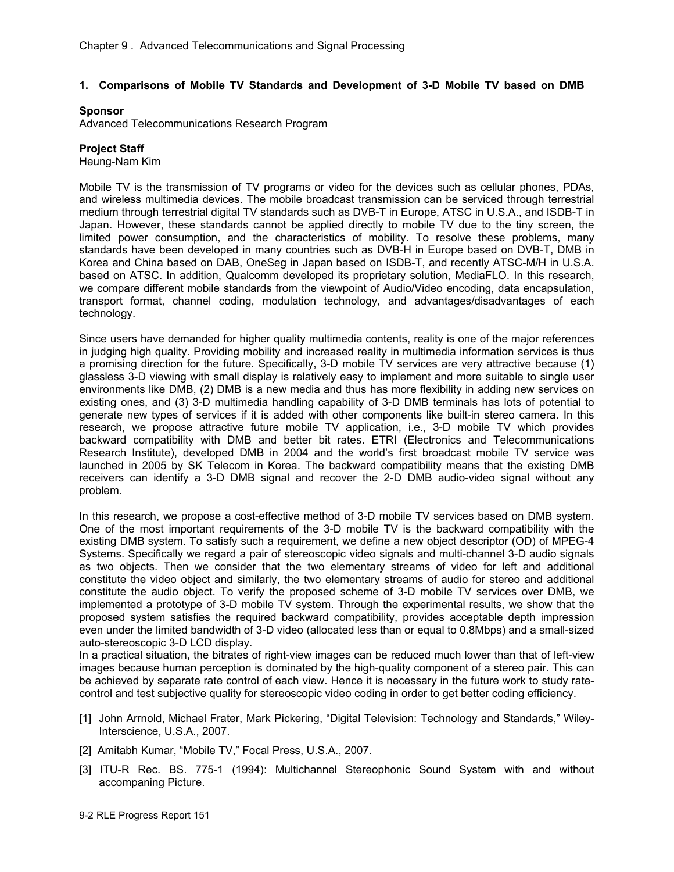# **1. Comparisons of Mobile TV Standards and Development of 3-D Mobile TV based on DMB**

#### **Sponsor**

Advanced Telecommunications Research Program

## **Project Staff**

Heung-Nam Kim

Mobile TV is the transmission of TV programs or video for the devices such as cellular phones, PDAs, and wireless multimedia devices. The mobile broadcast transmission can be serviced through terrestrial medium through terrestrial digital TV standards such as DVB-T in Europe, ATSC in U.S.A., and ISDB-T in Japan. However, these standards cannot be applied directly to mobile TV due to the tiny screen, the limited power consumption, and the characteristics of mobility. To resolve these problems, many standards have been developed in many countries such as DVB-H in Europe based on DVB-T, DMB in Korea and China based on DAB, OneSeg in Japan based on ISDB-T, and recently ATSC-M/H in U.S.A. based on ATSC. In addition, Qualcomm developed its proprietary solution, MediaFLO. In this research, we compare different mobile standards from the viewpoint of Audio/Video encoding, data encapsulation, transport format, channel coding, modulation technology, and advantages/disadvantages of each technology.

Since users have demanded for higher quality multimedia contents, reality is one of the major references in judging high quality. Providing mobility and increased reality in multimedia information services is thus a promising direction for the future. Specifically, 3-D mobile TV services are very attractive because (1) glassless 3-D viewing with small display is relatively easy to implement and more suitable to single user environments like DMB, (2) DMB is a new media and thus has more flexibility in adding new services on existing ones, and (3) 3-D multimedia handling capability of 3-D DMB terminals has lots of potential to generate new types of services if it is added with other components like built-in stereo camera. In this research, we propose attractive future mobile TV application, i.e., 3-D mobile TV which provides backward compatibility with DMB and better bit rates. ETRI (Electronics and Telecommunications Research Institute), developed DMB in 2004 and the world's first broadcast mobile TV service was launched in 2005 by SK Telecom in Korea. The backward compatibility means that the existing DMB receivers can identify a 3-D DMB signal and recover the 2-D DMB audio-video signal without any problem.

In this research, we propose a cost-effective method of 3-D mobile TV services based on DMB system. One of the most important requirements of the 3-D mobile TV is the backward compatibility with the existing DMB system. To satisfy such a requirement, we define a new object descriptor (OD) of MPEG-4 Systems. Specifically we regard a pair of stereoscopic video signals and multi-channel 3-D audio signals as two objects. Then we consider that the two elementary streams of video for left and additional constitute the video object and similarly, the two elementary streams of audio for stereo and additional constitute the audio object. To verify the proposed scheme of 3-D mobile TV services over DMB, we implemented a prototype of 3-D mobile TV system. Through the experimental results, we show that the proposed system satisfies the required backward compatibility, provides acceptable depth impression even under the limited bandwidth of 3-D video (allocated less than or equal to 0.8Mbps) and a small-sized auto-stereoscopic 3-D LCD display.

In a practical situation, the bitrates of right-view images can be reduced much lower than that of left-view images because human perception is dominated by the high-quality component of a stereo pair. This can be achieved by separate rate control of each view. Hence it is necessary in the future work to study ratecontrol and test subjective quality for stereoscopic video coding in order to get better coding efficiency.

- [1] John Arrnold, Michael Frater, Mark Pickering, "Digital Television: Technology and Standards," Wiley-Interscience, U.S.A., 2007.
- [2] Amitabh Kumar, "Mobile TV," Focal Press, U.S.A., 2007.
- [3] ITU-R Rec. BS. 775-1 (1994): Multichannel Stereophonic Sound System with and without accompaning Picture.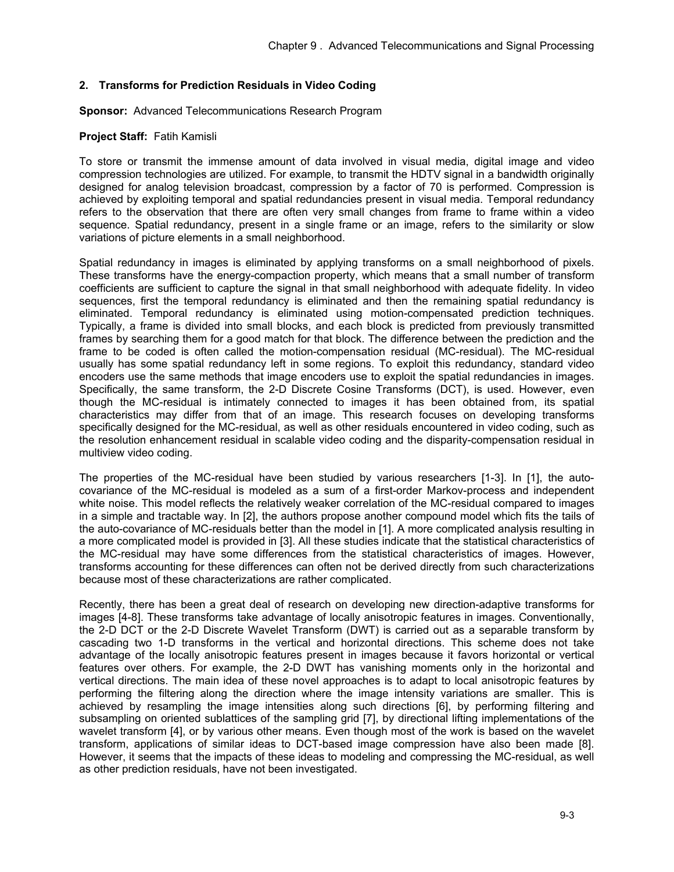# **2. Transforms for Prediction Residuals in Video Coding**

**Sponsor:** Advanced Telecommunications Research Program

#### **Project Staff:** Fatih Kamisli

To store or transmit the immense amount of data involved in visual media, digital image and video compression technologies are utilized. For example, to transmit the HDTV signal in a bandwidth originally designed for analog television broadcast, compression by a factor of 70 is performed. Compression is achieved by exploiting temporal and spatial redundancies present in visual media. Temporal redundancy refers to the observation that there are often very small changes from frame to frame within a video sequence. Spatial redundancy, present in a single frame or an image, refers to the similarity or slow variations of picture elements in a small neighborhood.

Spatial redundancy in images is eliminated by applying transforms on a small neighborhood of pixels. These transforms have the energy-compaction property, which means that a small number of transform coefficients are sufficient to capture the signal in that small neighborhood with adequate fidelity. In video sequences, first the temporal redundancy is eliminated and then the remaining spatial redundancy is eliminated. Temporal redundancy is eliminated using motion-compensated prediction techniques. Typically, a frame is divided into small blocks, and each block is predicted from previously transmitted frames by searching them for a good match for that block. The difference between the prediction and the frame to be coded is often called the motion-compensation residual (MC-residual). The MC-residual usually has some spatial redundancy left in some regions. To exploit this redundancy, standard video encoders use the same methods that image encoders use to exploit the spatial redundancies in images. Specifically, the same transform, the 2-D Discrete Cosine Transforms (DCT), is used. However, even though the MC-residual is intimately connected to images it has been obtained from, its spatial characteristics may differ from that of an image. This research focuses on developing transforms specifically designed for the MC-residual, as well as other residuals encountered in video coding, such as the resolution enhancement residual in scalable video coding and the disparity-compensation residual in multiview video coding.

The properties of the MC-residual have been studied by various researchers [1-3]. In [1], the autocovariance of the MC-residual is modeled as a sum of a first-order Markov-process and independent white noise. This model reflects the relatively weaker correlation of the MC-residual compared to images in a simple and tractable way. In [2], the authors propose another compound model which fits the tails of the auto-covariance of MC-residuals better than the model in [1]. A more complicated analysis resulting in a more complicated model is provided in [3]. All these studies indicate that the statistical characteristics of the MC-residual may have some differences from the statistical characteristics of images. However, transforms accounting for these differences can often not be derived directly from such characterizations because most of these characterizations are rather complicated.

Recently, there has been a great deal of research on developing new direction-adaptive transforms for images [4-8]. These transforms take advantage of locally anisotropic features in images. Conventionally, the 2-D DCT or the 2-D Discrete Wavelet Transform (DWT) is carried out as a separable transform by cascading two 1-D transforms in the vertical and horizontal directions. This scheme does not take advantage of the locally anisotropic features present in images because it favors horizontal or vertical features over others. For example, the 2-D DWT has vanishing moments only in the horizontal and vertical directions. The main idea of these novel approaches is to adapt to local anisotropic features by performing the filtering along the direction where the image intensity variations are smaller. This is achieved by resampling the image intensities along such directions [6], by performing filtering and subsampling on oriented sublattices of the sampling grid [7], by directional lifting implementations of the wavelet transform [4], or by various other means. Even though most of the work is based on the wavelet transform, applications of similar ideas to DCT-based image compression have also been made [8]. However, it seems that the impacts of these ideas to modeling and compressing the MC-residual, as well as other prediction residuals, have not been investigated.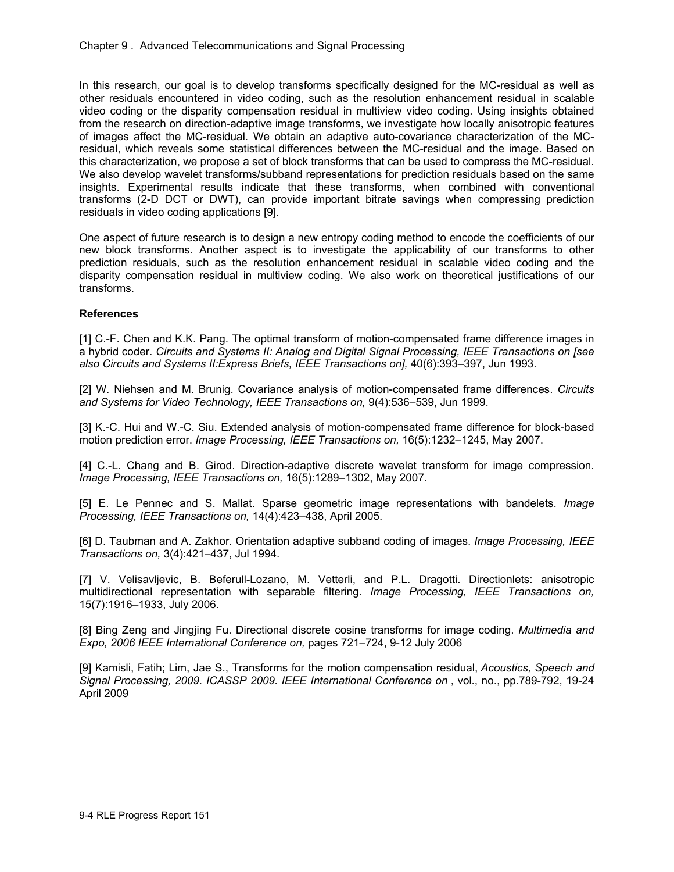In this research, our goal is to develop transforms specifically designed for the MC-residual as well as other residuals encountered in video coding, such as the resolution enhancement residual in scalable video coding or the disparity compensation residual in multiview video coding. Using insights obtained from the research on direction-adaptive image transforms, we investigate how locally anisotropic features of images affect the MC-residual. We obtain an adaptive auto-covariance characterization of the MCresidual, which reveals some statistical differences between the MC-residual and the image. Based on this characterization, we propose a set of block transforms that can be used to compress the MC-residual. We also develop wavelet transforms/subband representations for prediction residuals based on the same insights. Experimental results indicate that these transforms, when combined with conventional transforms (2-D DCT or DWT), can provide important bitrate savings when compressing prediction residuals in video coding applications [9].

One aspect of future research is to design a new entropy coding method to encode the coefficients of our new block transforms. Another aspect is to investigate the applicability of our transforms to other prediction residuals, such as the resolution enhancement residual in scalable video coding and the disparity compensation residual in multiview coding. We also work on theoretical justifications of our transforms.

# **References**

[1] C.-F. Chen and K.K. Pang. The optimal transform of motion-compensated frame difference images in a hybrid coder. *Circuits and Systems II: Analog and Digital Signal Processing, IEEE Transactions on [see also Circuits and Systems II:Express Briefs, IEEE Transactions on],* 40(6):393–397, Jun 1993.

[2] W. Niehsen and M. Brunig. Covariance analysis of motion-compensated frame differences. *Circuits and Systems for Video Technology, IEEE Transactions on,* 9(4):536–539, Jun 1999.

[3] K.-C. Hui and W.-C. Siu. Extended analysis of motion-compensated frame difference for block-based motion prediction error. *Image Processing, IEEE Transactions on,* 16(5):1232–1245, May 2007.

[4] C.-L. Chang and B. Girod. Direction-adaptive discrete wavelet transform for image compression. *Image Processing, IEEE Transactions on,* 16(5):1289–1302, May 2007.

[5] E. Le Pennec and S. Mallat. Sparse geometric image representations with bandelets. *Image Processing, IEEE Transactions on,* 14(4):423–438, April 2005.

[6] D. Taubman and A. Zakhor. Orientation adaptive subband coding of images. *Image Processing, IEEE Transactions on,* 3(4):421–437, Jul 1994.

[7] V. Velisavljevic, B. Beferull-Lozano, M. Vetterli, and P.L. Dragotti. Directionlets: anisotropic multidirectional representation with separable filtering. *Image Processing, IEEE Transactions on,* 15(7):1916–1933, July 2006.

[8] Bing Zeng and Jingjing Fu. Directional discrete cosine transforms for image coding. *Multimedia and Expo, 2006 IEEE International Conference on,* pages 721–724, 9-12 July 2006

[9] Kamisli, Fatih; Lim, Jae S., Transforms for the motion compensation residual, *Acoustics, Speech and Signal Processing, 2009. ICASSP 2009. IEEE International Conference on* , vol., no., pp.789-792, 19-24 April 2009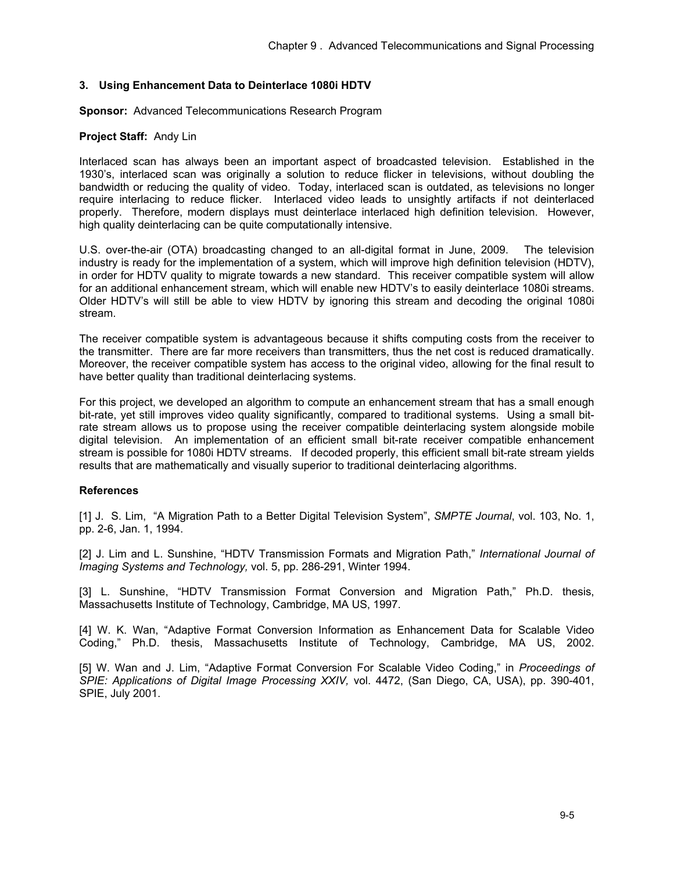## **3. Using Enhancement Data to Deinterlace 1080i HDTV**

**Sponsor:** Advanced Telecommunications Research Program

#### **Project Staff:** Andy Lin

Interlaced scan has always been an important aspect of broadcasted television. Established in the 1930's, interlaced scan was originally a solution to reduce flicker in televisions, without doubling the bandwidth or reducing the quality of video. Today, interlaced scan is outdated, as televisions no longer require interlacing to reduce flicker. Interlaced video leads to unsightly artifacts if not deinterlaced properly. Therefore, modern displays must deinterlace interlaced high definition television. However, high quality deinterlacing can be quite computationally intensive.

U.S. over-the-air (OTA) broadcasting changed to an all-digital format in June, 2009. The television industry is ready for the implementation of a system, which will improve high definition television (HDTV), in order for HDTV quality to migrate towards a new standard. This receiver compatible system will allow for an additional enhancement stream, which will enable new HDTV's to easily deinterlace 1080i streams. Older HDTV's will still be able to view HDTV by ignoring this stream and decoding the original 1080i stream.

The receiver compatible system is advantageous because it shifts computing costs from the receiver to the transmitter. There are far more receivers than transmitters, thus the net cost is reduced dramatically. Moreover, the receiver compatible system has access to the original video, allowing for the final result to have better quality than traditional deinterlacing systems.

For this project, we developed an algorithm to compute an enhancement stream that has a small enough bit-rate, yet still improves video quality significantly, compared to traditional systems. Using a small bitrate stream allows us to propose using the receiver compatible deinterlacing system alongside mobile digital television. An implementation of an efficient small bit-rate receiver compatible enhancement stream is possible for 1080i HDTV streams. If decoded properly, this efficient small bit-rate stream yields results that are mathematically and visually superior to traditional deinterlacing algorithms.

#### **References**

[1] J. S. Lim, "A Migration Path to a Better Digital Television System", *SMPTE Journal*, vol. 103, No. 1, pp. 2-6, Jan. 1, 1994.

[2] J. Lim and L. Sunshine, "HDTV Transmission Formats and Migration Path," *International Journal of Imaging Systems and Technology,* vol. 5, pp. 286-291, Winter 1994.

[3] L. Sunshine, "HDTV Transmission Format Conversion and Migration Path," Ph.D. thesis, Massachusetts Institute of Technology, Cambridge, MA US, 1997.

[4] W. K. Wan, "Adaptive Format Conversion Information as Enhancement Data for Scalable Video Coding," Ph.D. thesis, Massachusetts Institute of Technology, Cambridge, MA US, 2002.

[5] W. Wan and J. Lim, "Adaptive Format Conversion For Scalable Video Coding," in *Proceedings of SPIE: Applications of Digital Image Processing XXIV,* vol. 4472, (San Diego, CA, USA), pp. 390-401, SPIE, July 2001.